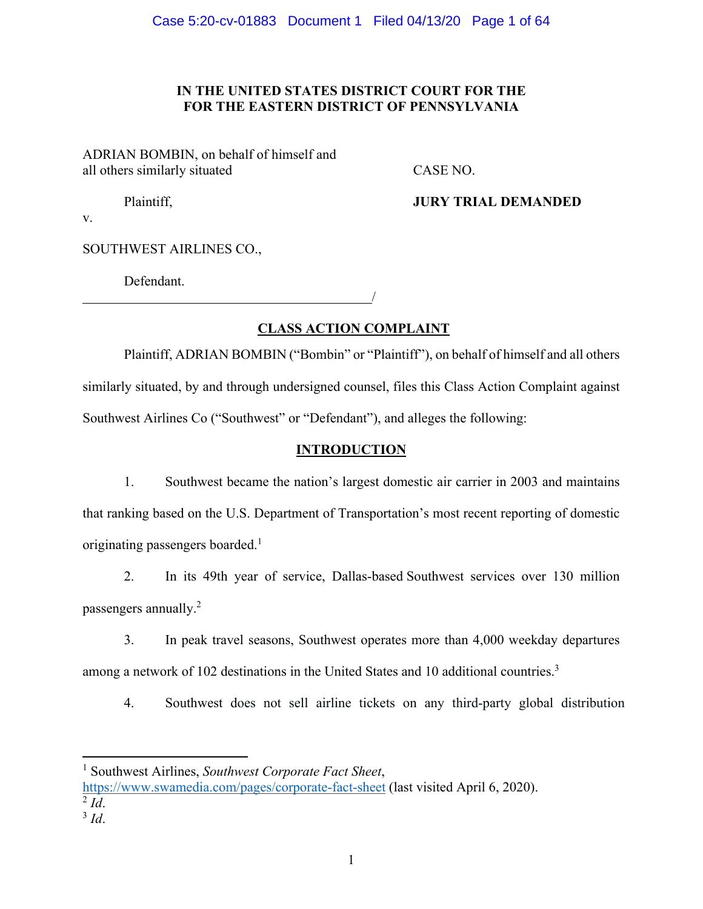# **IN THE UNITED STATES DISTRICT COURT FOR THE FOR THE EASTERN DISTRICT OF PENNSYLVANIA**

ADRIAN BOMBIN, on behalf of himself and all others similarly situated CASE NO.

/

Plaintiff, **JURY TRIAL DEMANDED**

v.

SOUTHWEST AIRLINES CO.,

Defendant.

**CLASS ACTION COMPLAINT** 

Plaintiff, ADRIAN BOMBIN ("Bombin" or "Plaintiff"), on behalf of himself and all others similarly situated, by and through undersigned counsel, files this Class Action Complaint against Southwest Airlines Co ("Southwest" or "Defendant"), and alleges the following:

# **INTRODUCTION**

1. Southwest became the nation's largest domestic air carrier in 2003 and maintains that ranking based on the U.S. Department of Transportation's most recent reporting of domestic originating passengers boarded.<sup>1</sup>

2. In its 49th year of service, Dallas-based Southwest services over 130 million passengers annually.2

3. In peak travel seasons, Southwest operates more than 4,000 weekday departures among a network of 102 destinations in the United States and 10 additional countries.<sup>3</sup>

4. Southwest does not sell airline tickets on any third-party global distribution

1 Southwest Airlines, *Southwest Corporate Fact Sheet*,

https://www.swamedia.com/pages/corporate-fact-sheet (last visited April 6, 2020).  $\frac{2}{3}$ *Id*.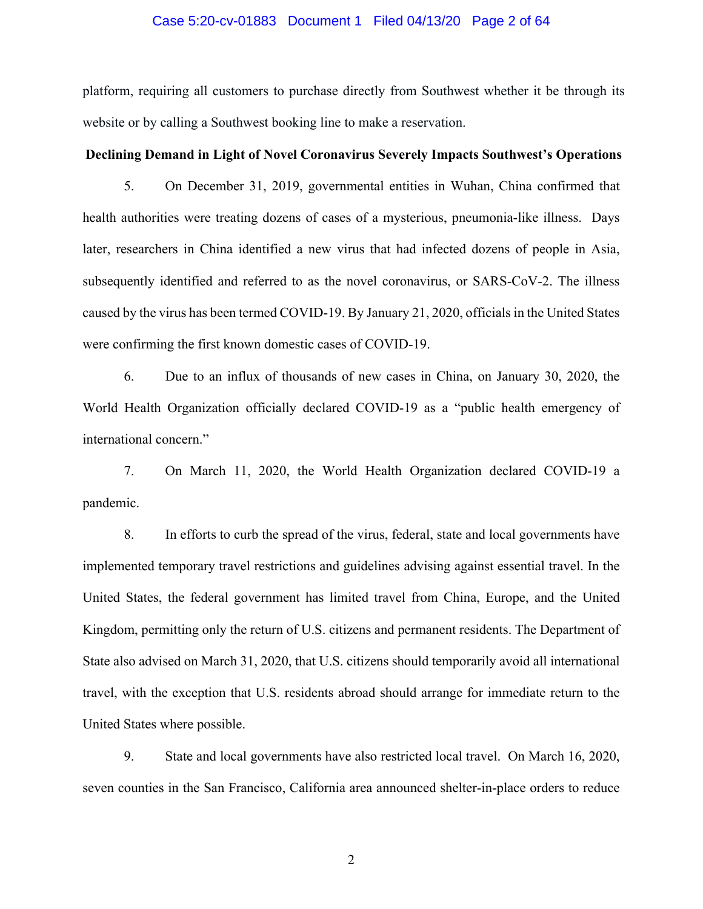#### Case 5:20-cv-01883 Document 1 Filed 04/13/20 Page 2 of 64

platform, requiring all customers to purchase directly from Southwest whether it be through its website or by calling a Southwest booking line to make a reservation.

### **Declining Demand in Light of Novel Coronavirus Severely Impacts Southwest's Operations**

5. On December 31, 2019, governmental entities in Wuhan, China confirmed that health authorities were treating dozens of cases of a mysterious, pneumonia-like illness. Days later, researchers in China identified a new virus that had infected dozens of people in Asia, subsequently identified and referred to as the novel coronavirus, or SARS-CoV-2. The illness caused by the virus has been termed COVID-19. By January 21, 2020, officials in the United States were confirming the first known domestic cases of COVID-19.

6. Due to an influx of thousands of new cases in China, on January 30, 2020, the World Health Organization officially declared COVID-19 as a "public health emergency of international concern."

7. On March 11, 2020, the World Health Organization declared COVID-19 a pandemic.

8. In efforts to curb the spread of the virus, federal, state and local governments have implemented temporary travel restrictions and guidelines advising against essential travel. In the United States, the federal government has limited travel from China, Europe, and the United Kingdom, permitting only the return of U.S. citizens and permanent residents. The Department of State also advised on March 31, 2020, that U.S. citizens should temporarily avoid all international travel, with the exception that U.S. residents abroad should arrange for immediate return to the United States where possible.

9. State and local governments have also restricted local travel. On March 16, 2020, seven counties in the San Francisco, California area announced shelter-in-place orders to reduce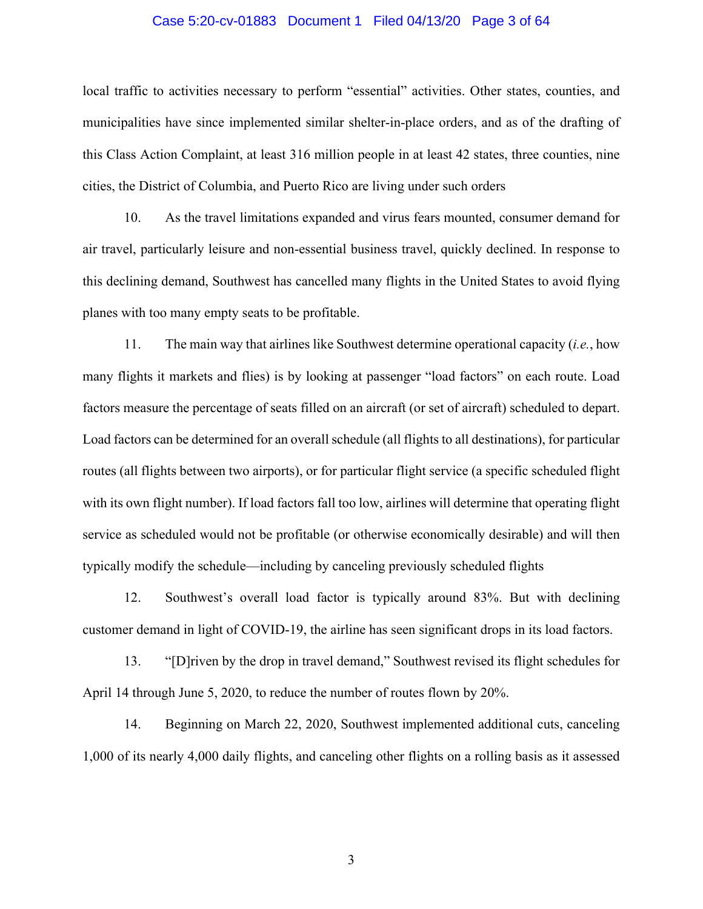### Case 5:20-cv-01883 Document 1 Filed 04/13/20 Page 3 of 64

local traffic to activities necessary to perform "essential" activities. Other states, counties, and municipalities have since implemented similar shelter-in-place orders, and as of the drafting of this Class Action Complaint, at least 316 million people in at least 42 states, three counties, nine cities, the District of Columbia, and Puerto Rico are living under such orders

10. As the travel limitations expanded and virus fears mounted, consumer demand for air travel, particularly leisure and non-essential business travel, quickly declined. In response to this declining demand, Southwest has cancelled many flights in the United States to avoid flying planes with too many empty seats to be profitable.

11. The main way that airlines like Southwest determine operational capacity (*i.e.*, how many flights it markets and flies) is by looking at passenger "load factors" on each route. Load factors measure the percentage of seats filled on an aircraft (or set of aircraft) scheduled to depart. Load factors can be determined for an overall schedule (all flights to all destinations), for particular routes (all flights between two airports), or for particular flight service (a specific scheduled flight with its own flight number). If load factors fall too low, airlines will determine that operating flight service as scheduled would not be profitable (or otherwise economically desirable) and will then typically modify the schedule—including by canceling previously scheduled flights

12. Southwest's overall load factor is typically around 83%. But with declining customer demand in light of COVID-19, the airline has seen significant drops in its load factors.

13. "[D]riven by the drop in travel demand," Southwest revised its flight schedules for April 14 through June 5, 2020, to reduce the number of routes flown by 20%.

14. Beginning on March 22, 2020, Southwest implemented additional cuts, canceling 1,000 of its nearly 4,000 daily flights, and canceling other flights on a rolling basis as it assessed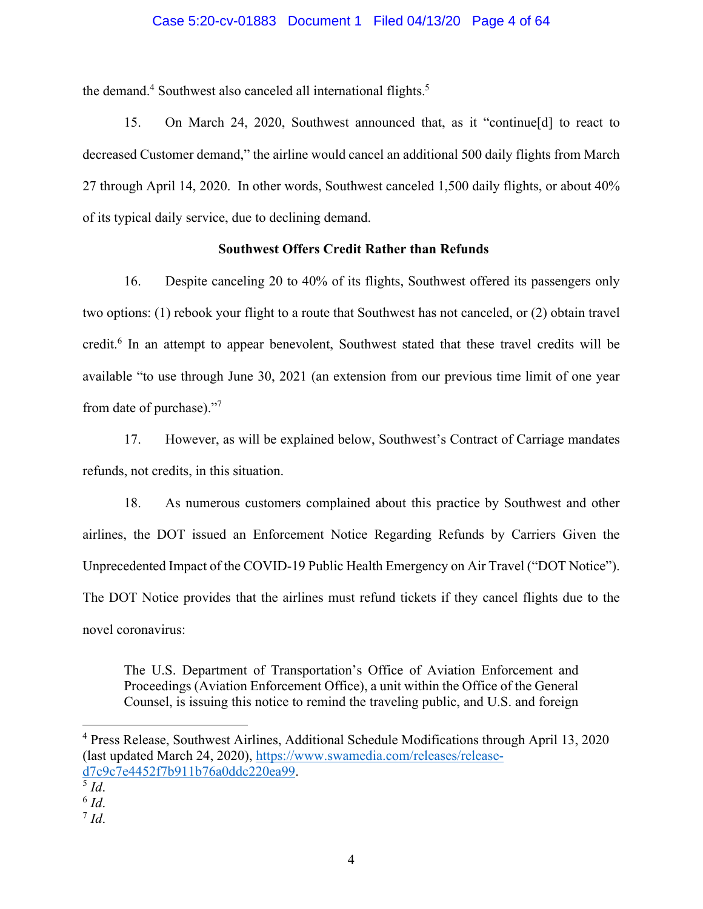## Case 5:20-cv-01883 Document 1 Filed 04/13/20 Page 4 of 64

the demand.<sup>4</sup> Southwest also canceled all international flights.<sup>5</sup>

15. On March 24, 2020, Southwest announced that, as it "continue[d] to react to decreased Customer demand," the airline would cancel an additional 500 daily flights from March 27 through April 14, 2020. In other words, Southwest canceled 1,500 daily flights, or about 40% of its typical daily service, due to declining demand.

## **Southwest Offers Credit Rather than Refunds**

16. Despite canceling 20 to 40% of its flights, Southwest offered its passengers only two options: (1) rebook your flight to a route that Southwest has not canceled, or (2) obtain travel credit.<sup>6</sup> In an attempt to appear benevolent, Southwest stated that these travel credits will be available "to use through June 30, 2021 (an extension from our previous time limit of one year from date of purchase)."7

17. However, as will be explained below, Southwest's Contract of Carriage mandates refunds, not credits, in this situation.

18. As numerous customers complained about this practice by Southwest and other airlines, the DOT issued an Enforcement Notice Regarding Refunds by Carriers Given the Unprecedented Impact of the COVID-19 Public Health Emergency on Air Travel ("DOT Notice"). The DOT Notice provides that the airlines must refund tickets if they cancel flights due to the novel coronavirus:

The U.S. Department of Transportation's Office of Aviation Enforcement and Proceedings (Aviation Enforcement Office), a unit within the Office of the General Counsel, is issuing this notice to remind the traveling public, and U.S. and foreign

<sup>&</sup>lt;sup>4</sup> Press Release, Southwest Airlines, Additional Schedule Modifications through April 13, 2020 (last updated March 24, 2020), https://www.swamedia.com/releases/released7c9c7e4452f7b911b76a0ddc220ea99. 5 *Id*. 6 *Id*. 7 *Id*.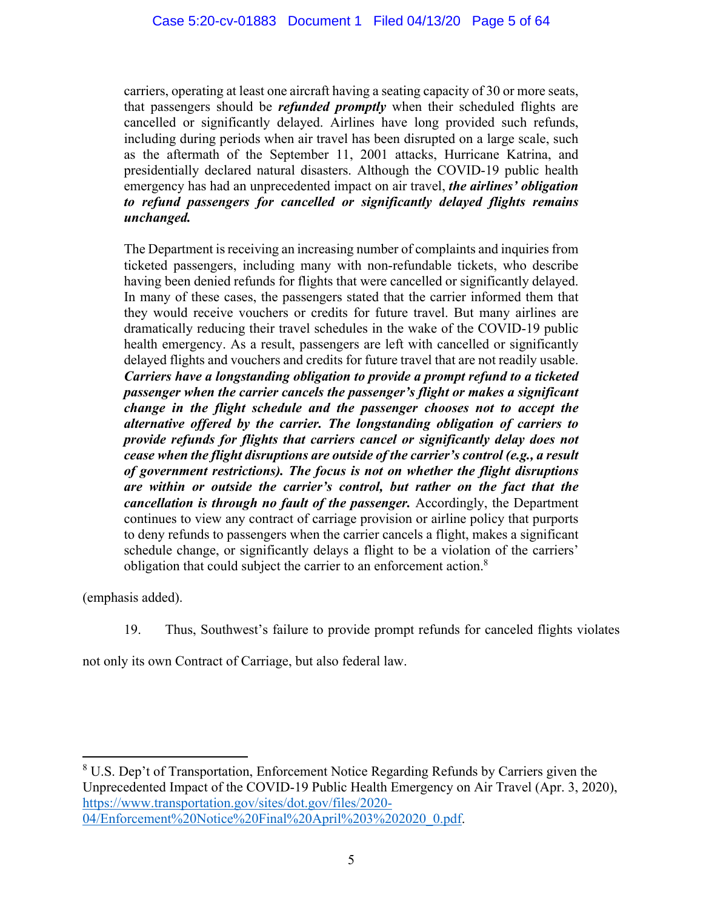carriers, operating at least one aircraft having a seating capacity of 30 or more seats, that passengers should be *refunded promptly* when their scheduled flights are cancelled or significantly delayed. Airlines have long provided such refunds, including during periods when air travel has been disrupted on a large scale, such as the aftermath of the September 11, 2001 attacks, Hurricane Katrina, and presidentially declared natural disasters. Although the COVID-19 public health emergency has had an unprecedented impact on air travel, *the airlines' obligation to refund passengers for cancelled or significantly delayed flights remains unchanged.* 

The Department is receiving an increasing number of complaints and inquiries from ticketed passengers, including many with non-refundable tickets, who describe having been denied refunds for flights that were cancelled or significantly delayed. In many of these cases, the passengers stated that the carrier informed them that they would receive vouchers or credits for future travel. But many airlines are dramatically reducing their travel schedules in the wake of the COVID-19 public health emergency. As a result, passengers are left with cancelled or significantly delayed flights and vouchers and credits for future travel that are not readily usable. *Carriers have a longstanding obligation to provide a prompt refund to a ticketed passenger when the carrier cancels the passenger's flight or makes a significant change in the flight schedule and the passenger chooses not to accept the alternative offered by the carrier. The longstanding obligation of carriers to provide refunds for flights that carriers cancel or significantly delay does not cease when the flight disruptions are outside of the carrier's control (e.g., a result of government restrictions). The focus is not on whether the flight disruptions are within or outside the carrier's control, but rather on the fact that the cancellation is through no fault of the passenger.* Accordingly, the Department continues to view any contract of carriage provision or airline policy that purports to deny refunds to passengers when the carrier cancels a flight, makes a significant schedule change, or significantly delays a flight to be a violation of the carriers' obligation that could subject the carrier to an enforcement action.<sup>8</sup>

(emphasis added).

19. Thus, Southwest's failure to provide prompt refunds for canceled flights violates

not only its own Contract of Carriage, but also federal law.

<sup>8</sup> U.S. Dep't of Transportation, Enforcement Notice Regarding Refunds by Carriers given the Unprecedented Impact of the COVID-19 Public Health Emergency on Air Travel (Apr. 3, 2020), https://www.transportation.gov/sites/dot.gov/files/2020- 04/Enforcement%20Notice%20Final%20April%203%202020\_0.pdf.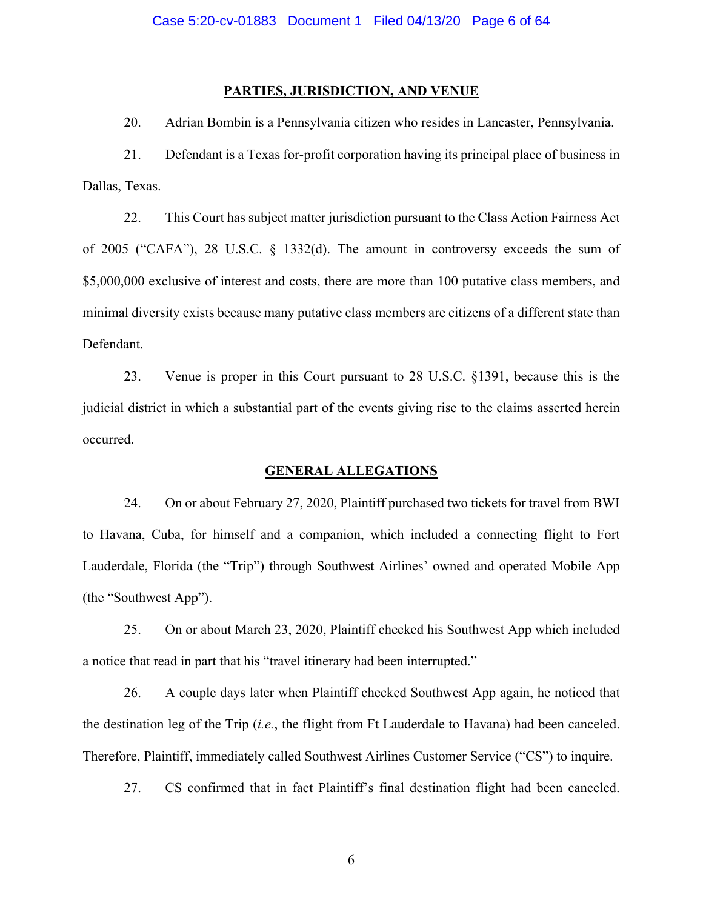### **PARTIES, JURISDICTION, AND VENUE**

20. Adrian Bombin is a Pennsylvania citizen who resides in Lancaster, Pennsylvania.

21. Defendant is a Texas for-profit corporation having its principal place of business in Dallas, Texas.

22. This Court has subject matter jurisdiction pursuant to the Class Action Fairness Act of 2005 ("CAFA"), 28 U.S.C. § 1332(d). The amount in controversy exceeds the sum of \$5,000,000 exclusive of interest and costs, there are more than 100 putative class members, and minimal diversity exists because many putative class members are citizens of a different state than Defendant.

23. Venue is proper in this Court pursuant to 28 U.S.C. §1391, because this is the judicial district in which a substantial part of the events giving rise to the claims asserted herein occurred.

### **GENERAL ALLEGATIONS**

24. On or about February 27, 2020, Plaintiff purchased two tickets for travel from BWI to Havana, Cuba, for himself and a companion, which included a connecting flight to Fort Lauderdale, Florida (the "Trip") through Southwest Airlines' owned and operated Mobile App (the "Southwest App").

25. On or about March 23, 2020, Plaintiff checked his Southwest App which included a notice that read in part that his "travel itinerary had been interrupted."

26. A couple days later when Plaintiff checked Southwest App again, he noticed that the destination leg of the Trip (*i.e.*, the flight from Ft Lauderdale to Havana) had been canceled. Therefore, Plaintiff, immediately called Southwest Airlines Customer Service ("CS") to inquire.

27. CS confirmed that in fact Plaintiff's final destination flight had been canceled.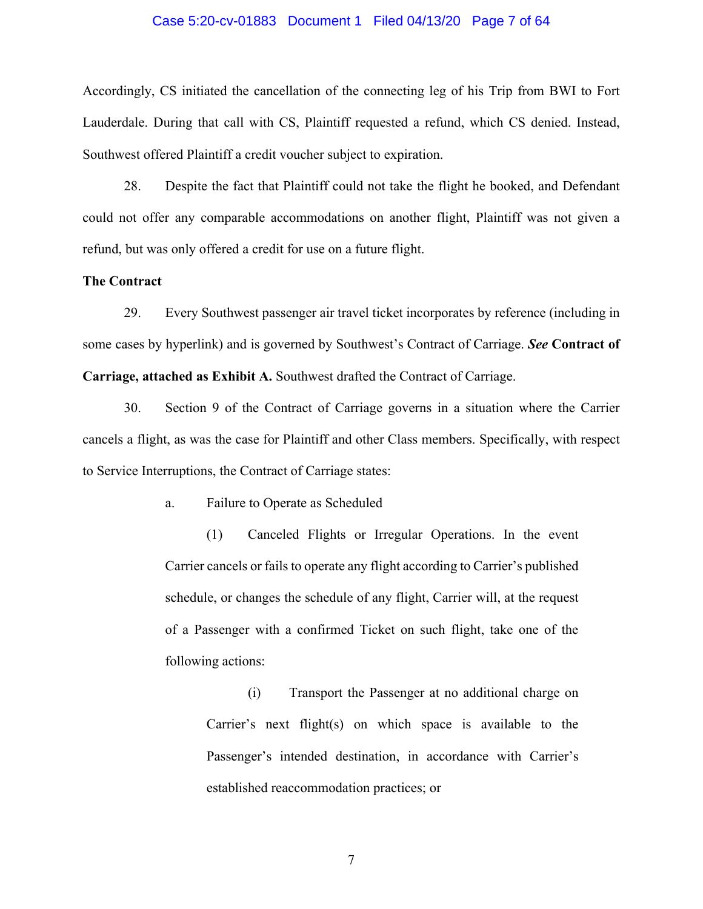# Case 5:20-cv-01883 Document 1 Filed 04/13/20 Page 7 of 64

Accordingly, CS initiated the cancellation of the connecting leg of his Trip from BWI to Fort Lauderdale. During that call with CS, Plaintiff requested a refund, which CS denied. Instead, Southwest offered Plaintiff a credit voucher subject to expiration.

28. Despite the fact that Plaintiff could not take the flight he booked, and Defendant could not offer any comparable accommodations on another flight, Plaintiff was not given a refund, but was only offered a credit for use on a future flight.

## **The Contract**

29. Every Southwest passenger air travel ticket incorporates by reference (including in some cases by hyperlink) and is governed by Southwest's Contract of Carriage. *See* **Contract of Carriage, attached as Exhibit A.** Southwest drafted the Contract of Carriage.

30. Section 9 of the Contract of Carriage governs in a situation where the Carrier cancels a flight, as was the case for Plaintiff and other Class members. Specifically, with respect to Service Interruptions, the Contract of Carriage states:

a. Failure to Operate as Scheduled

(1) Canceled Flights or Irregular Operations. In the event Carrier cancels or fails to operate any flight according to Carrier's published schedule, or changes the schedule of any flight, Carrier will, at the request of a Passenger with a confirmed Ticket on such flight, take one of the following actions:

(i) Transport the Passenger at no additional charge on Carrier's next flight(s) on which space is available to the Passenger's intended destination, in accordance with Carrier's established reaccommodation practices; or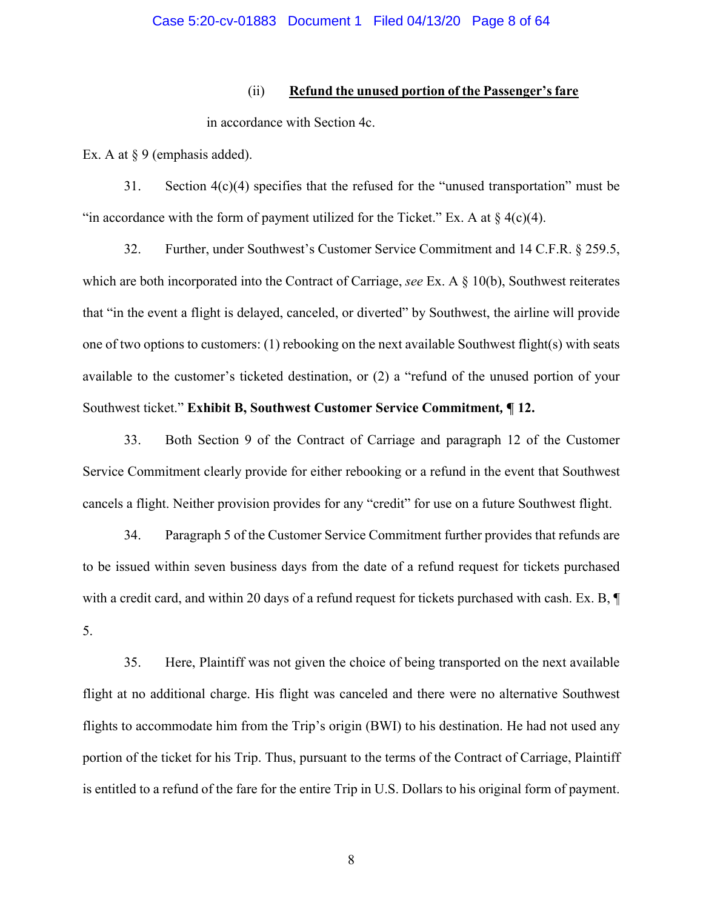## (ii) **Refund the unused portion of the Passenger's fare**

in accordance with Section 4c.

Ex. A at § 9 (emphasis added).

31. Section 4(c)(4) specifies that the refused for the "unused transportation" must be "in accordance with the form of payment utilized for the Ticket." Ex. A at  $\S$  4(c)(4).

32. Further, under Southwest's Customer Service Commitment and 14 C.F.R. § 259.5, which are both incorporated into the Contract of Carriage, *see* Ex. A  $\S$  10(b), Southwest reiterates that "in the event a flight is delayed, canceled, or diverted" by Southwest, the airline will provide one of two options to customers: (1) rebooking on the next available Southwest flight(s) with seats available to the customer's ticketed destination, or (2) a "refund of the unused portion of your Southwest ticket." **Exhibit B, Southwest Customer Service Commitment***,* **¶ 12.**

33. Both Section 9 of the Contract of Carriage and paragraph 12 of the Customer Service Commitment clearly provide for either rebooking or a refund in the event that Southwest cancels a flight. Neither provision provides for any "credit" for use on a future Southwest flight.

34. Paragraph 5 of the Customer Service Commitment further provides that refunds are to be issued within seven business days from the date of a refund request for tickets purchased with a credit card, and within 20 days of a refund request for tickets purchased with cash. Ex. B, ¶ 5.

35. Here, Plaintiff was not given the choice of being transported on the next available flight at no additional charge. His flight was canceled and there were no alternative Southwest flights to accommodate him from the Trip's origin (BWI) to his destination. He had not used any portion of the ticket for his Trip. Thus, pursuant to the terms of the Contract of Carriage, Plaintiff is entitled to a refund of the fare for the entire Trip in U.S. Dollars to his original form of payment.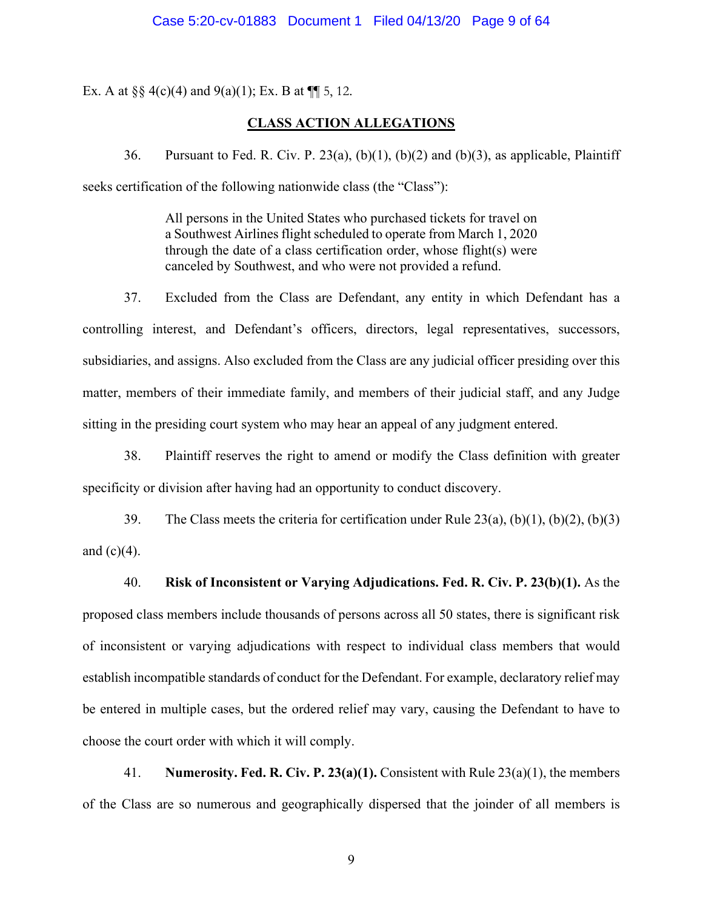Ex. A at  $\S\S 4(c)(4)$  and  $9(a)(1)$ ; Ex. B at  $\P$  5, 12.

## **CLASS ACTION ALLEGATIONS**

36. Pursuant to Fed. R. Civ. P. 23(a),  $(b)(1)$ ,  $(b)(2)$  and  $(b)(3)$ , as applicable, Plaintiff seeks certification of the following nationwide class (the "Class"):

> All persons in the United States who purchased tickets for travel on a Southwest Airlines flight scheduled to operate from March 1, 2020 through the date of a class certification order, whose flight(s) were canceled by Southwest, and who were not provided a refund.

37. Excluded from the Class are Defendant, any entity in which Defendant has a controlling interest, and Defendant's officers, directors, legal representatives, successors, subsidiaries, and assigns. Also excluded from the Class are any judicial officer presiding over this matter, members of their immediate family, and members of their judicial staff, and any Judge sitting in the presiding court system who may hear an appeal of any judgment entered.

38. Plaintiff reserves the right to amend or modify the Class definition with greater specificity or division after having had an opportunity to conduct discovery.

39. The Class meets the criteria for certification under Rule  $23(a)$ ,  $(b)(1)$ ,  $(b)(2)$ ,  $(b)(3)$ and  $(c)(4)$ .

40. **Risk of Inconsistent or Varying Adjudications. Fed. R. Civ. P. 23(b)(1).** As the proposed class members include thousands of persons across all 50 states, there is significant risk of inconsistent or varying adjudications with respect to individual class members that would establish incompatible standards of conduct for the Defendant. For example, declaratory relief may be entered in multiple cases, but the ordered relief may vary, causing the Defendant to have to choose the court order with which it will comply.

41. **Numerosity. Fed. R. Civ. P. 23(a)(1).** Consistent with Rule 23(a)(1), the members of the Class are so numerous and geographically dispersed that the joinder of all members is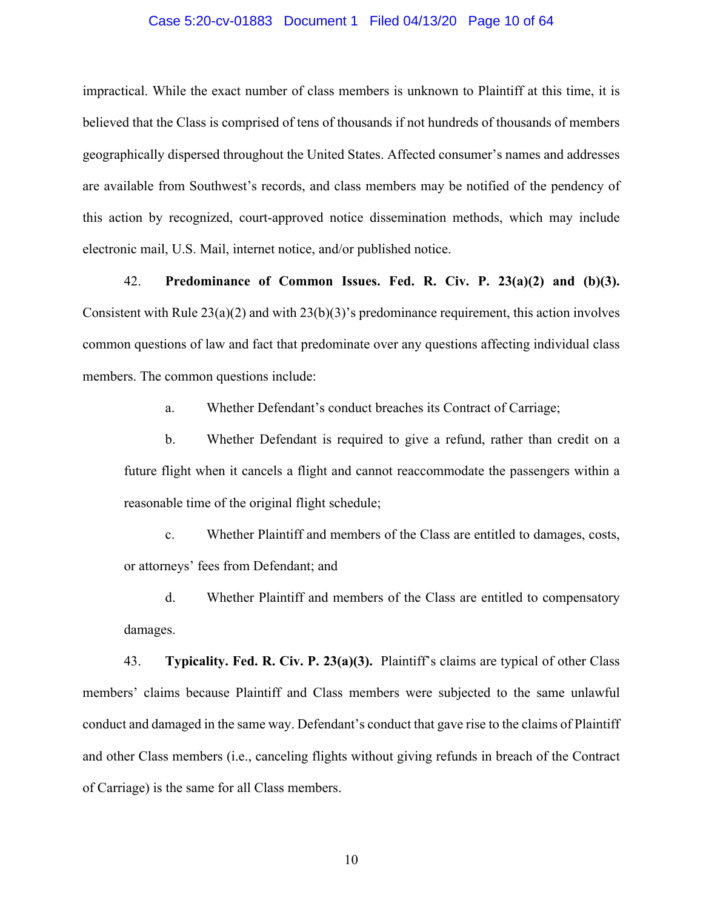### Case 5:20-cv-01883 Document 1 Filed 04/13/20 Page 10 of 64

impractical. While the exact number of class members is unknown to Plaintiff at this time, it is believed that the Class is comprised of tens of thousands if not hundreds of thousands of members geographically dispersed throughout the United States. Affected consumer's names and addresses are available from Southwest's records, and class members may be notified of the pendency of this action by recognized, court-approved notice dissemination methods, which may include electronic mail, U.S. Mail, internet notice, and/or published notice.

42. **Predominance of Common Issues. Fed. R. Civ. P. 23(a)(2) and (b)(3).** Consistent with Rule  $23(a)(2)$  and with  $23(b)(3)$ 's predominance requirement, this action involves common questions of law and fact that predominate over any questions affecting individual class members. The common questions include:

a. Whether Defendant's conduct breaches its Contract of Carriage;

b. Whether Defendant is required to give a refund, rather than credit on a future flight when it cancels a flight and cannot reaccommodate the passengers within a reasonable time of the original flight schedule;

c. Whether Plaintiff and members of the Class are entitled to damages, costs, or attorneys' fees from Defendant; and

d. Whether Plaintiff and members of the Class are entitled to compensatory damages.

43. **Typicality. Fed. R. Civ. P. 23(a)(3).** Plaintiff's claims are typical of other Class members' claims because Plaintiff and Class members were subjected to the same unlawful conduct and damaged in the same way. Defendant's conduct that gave rise to the claims of Plaintiff and other Class members (i.e., canceling flights without giving refunds in breach of the Contract of Carriage) is the same for all Class members.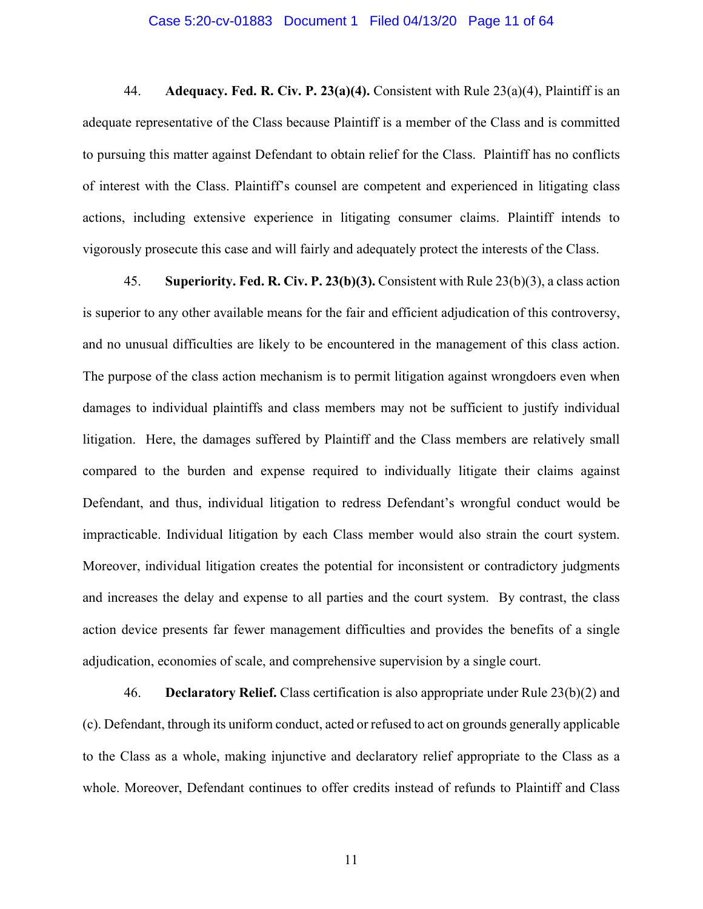### Case 5:20-cv-01883 Document 1 Filed 04/13/20 Page 11 of 64

44. **Adequacy. Fed. R. Civ. P. 23(a)(4).** Consistent with Rule 23(a)(4), Plaintiff is an adequate representative of the Class because Plaintiff is a member of the Class and is committed to pursuing this matter against Defendant to obtain relief for the Class. Plaintiff has no conflicts of interest with the Class. Plaintiff's counsel are competent and experienced in litigating class actions, including extensive experience in litigating consumer claims. Plaintiff intends to vigorously prosecute this case and will fairly and adequately protect the interests of the Class.

45. **Superiority. Fed. R. Civ. P. 23(b)(3).** Consistent with Rule 23(b)(3), a class action is superior to any other available means for the fair and efficient adjudication of this controversy, and no unusual difficulties are likely to be encountered in the management of this class action. The purpose of the class action mechanism is to permit litigation against wrongdoers even when damages to individual plaintiffs and class members may not be sufficient to justify individual litigation. Here, the damages suffered by Plaintiff and the Class members are relatively small compared to the burden and expense required to individually litigate their claims against Defendant, and thus, individual litigation to redress Defendant's wrongful conduct would be impracticable. Individual litigation by each Class member would also strain the court system. Moreover, individual litigation creates the potential for inconsistent or contradictory judgments and increases the delay and expense to all parties and the court system. By contrast, the class action device presents far fewer management difficulties and provides the benefits of a single adjudication, economies of scale, and comprehensive supervision by a single court.

46. **Declaratory Relief.** Class certification is also appropriate under Rule 23(b)(2) and (c). Defendant, through its uniform conduct, acted or refused to act on grounds generally applicable to the Class as a whole, making injunctive and declaratory relief appropriate to the Class as a whole. Moreover, Defendant continues to offer credits instead of refunds to Plaintiff and Class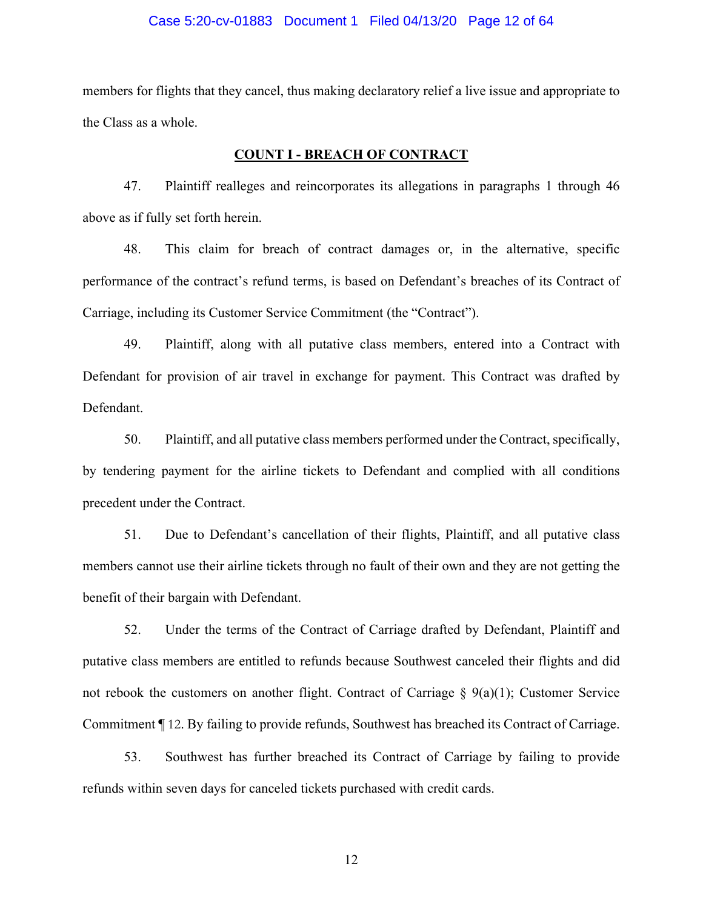### Case 5:20-cv-01883 Document 1 Filed 04/13/20 Page 12 of 64

members for flights that they cancel, thus making declaratory relief a live issue and appropriate to the Class as a whole.

#### **COUNT I - BREACH OF CONTRACT**

47. Plaintiff realleges and reincorporates its allegations in paragraphs 1 through 46 above as if fully set forth herein.

48. This claim for breach of contract damages or, in the alternative, specific performance of the contract's refund terms, is based on Defendant's breaches of its Contract of Carriage, including its Customer Service Commitment (the "Contract").

49. Plaintiff, along with all putative class members, entered into a Contract with Defendant for provision of air travel in exchange for payment. This Contract was drafted by Defendant.

50. Plaintiff, and all putative class members performed under the Contract, specifically, by tendering payment for the airline tickets to Defendant and complied with all conditions precedent under the Contract.

51. Due to Defendant's cancellation of their flights, Plaintiff, and all putative class members cannot use their airline tickets through no fault of their own and they are not getting the benefit of their bargain with Defendant.

52. Under the terms of the Contract of Carriage drafted by Defendant, Plaintiff and putative class members are entitled to refunds because Southwest canceled their flights and did not rebook the customers on another flight. Contract of Carriage  $\S$  9(a)(1); Customer Service Commitment ¶ 12. By failing to provide refunds, Southwest has breached its Contract of Carriage.

53. Southwest has further breached its Contract of Carriage by failing to provide refunds within seven days for canceled tickets purchased with credit cards.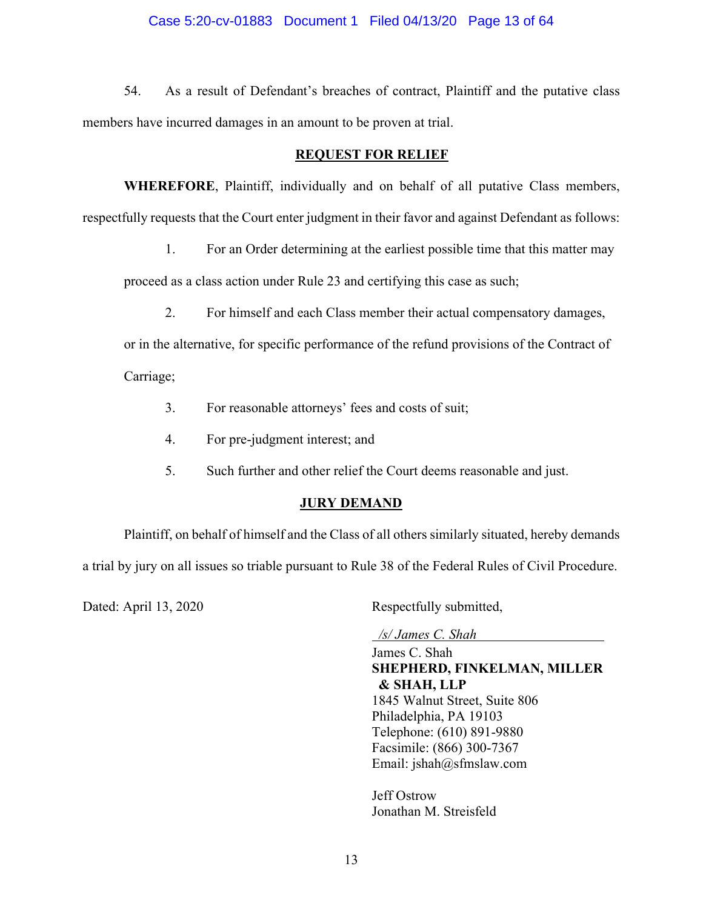## Case 5:20-cv-01883 Document 1 Filed 04/13/20 Page 13 of 64

54. As a result of Defendant's breaches of contract, Plaintiff and the putative class members have incurred damages in an amount to be proven at trial.

## **REQUEST FOR RELIEF**

 **WHEREFORE**, Plaintiff, individually and on behalf of all putative Class members, respectfully requests that the Court enter judgment in their favor and against Defendant as follows:

1. For an Order determining at the earliest possible time that this matter may

proceed as a class action under Rule 23 and certifying this case as such;

2. For himself and each Class member their actual compensatory damages,

or in the alternative, for specific performance of the refund provisions of the Contract of Carriage;

- 3. For reasonable attorneys' fees and costs of suit;
- 4. For pre-judgment interest; and
- 5. Such further and other relief the Court deems reasonable and just.

## **JURY DEMAND**

 Plaintiff, on behalf of himself and the Class of all others similarly situated, hereby demands a trial by jury on all issues so triable pursuant to Rule 38 of the Federal Rules of Civil Procedure.

Dated: April 13, 2020 Respectfully submitted,

*/s/ James C. Shah* 

James C. Shah **SHEPHERD, FINKELMAN, MILLER & SHAH, LLP**  1845 Walnut Street, Suite 806 Philadelphia, PA 19103 Telephone: (610) 891-9880 Facsimile: (866) 300-7367 Email: jshah@sfmslaw.com

Jeff Ostrow Jonathan M. Streisfeld